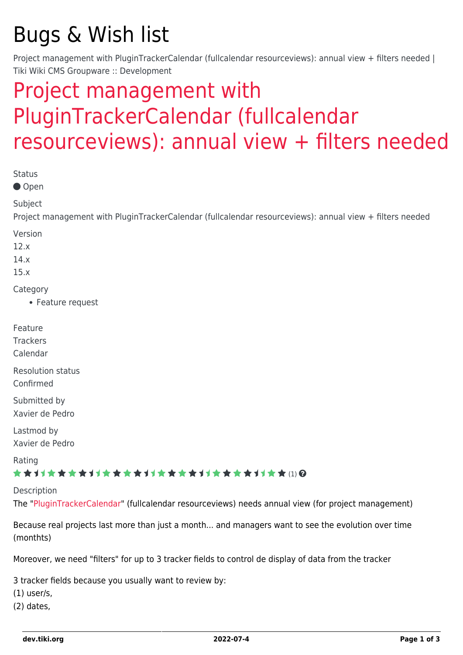## Bugs & Wish list

Project management with PluginTrackerCalendar (fullcalendar resourceviews): annual view + filters needed | Tiki Wiki CMS Groupware :: Development

## [Project management with](https://dev.tiki.org/item4391-Project-management-with-PluginTrackerCalendar-fullcalendar-resourceviews-annual-view-filters-needed) [PluginTrackerCalendar \(fullcalendar](https://dev.tiki.org/item4391-Project-management-with-PluginTrackerCalendar-fullcalendar-resourceviews-annual-view-filters-needed) [resourceviews\): annual view + filters needed](https://dev.tiki.org/item4391-Project-management-with-PluginTrackerCalendar-fullcalendar-resourceviews-annual-view-filters-needed)

| <b>Status</b><br>● Open                                                                                             |
|---------------------------------------------------------------------------------------------------------------------|
| Subject<br>Project management with PluginTrackerCalendar (fullcalendar resourceviews): annual view + filters needed |
| Version<br>12.x<br>14.x<br>15.x                                                                                     |
| Category<br>• Feature request                                                                                       |
| Feature<br><b>Trackers</b><br>Calendar                                                                              |
| <b>Resolution status</b><br>Confirmed                                                                               |
| Submitted by<br>Xavier de Pedro                                                                                     |
| Lastmod by<br>Xavier de Pedro                                                                                       |
| Rating<br>★★オオ★★★★オオ★★★★オオ★★★★オオ★★★★オオ★★(1)Q                                                                        |
| Description<br>The "PluginTrackerCalendar" (fullcalendar resourceviews) needs annual view (for project management)  |
| Because real projects last more than just a month and managers want to see the evolution over time<br>(monthts)     |

Moreover, we need "filters" for up to 3 tracker fields to control de display of data from the tracker

3 tracker fields because you usually want to review by:

- (1) user/s,
- (2) dates,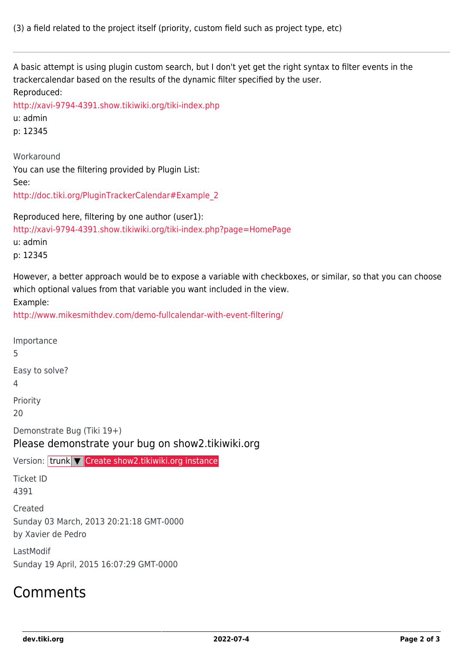A basic attempt is using plugin custom search, but I don't yet get the right syntax to filter events in the trackercalendar based on the results of the dynamic filter specified by the user. Reproduced: <http://xavi-9794-4391.show.tikiwiki.org/tiki-index.php> u: admin p: 12345 Workaround You can use the filtering provided by Plugin List: See: [http://doc.tiki.org/PluginTrackerCalendar#Example\\_2](http://doc.tiki.org/PluginTrackerCalendar#Example_2) Reproduced here, filtering by one author (user1): <http://xavi-9794-4391.show.tikiwiki.org/tiki-index.php?page=HomePage> u: admin p: 12345 However, a better approach would be to expose a variable with checkboxes, or similar, so that you can choose which optional values from that variable you want included in the view. Example: <http://www.mikesmithdev.com/demo-fullcalendar-with-event-filtering/> Importance 5 Easy to solve? 4 Priority

20

Demonstrate Bug (Tiki 19+)

Please demonstrate your bug on show2.tikiwiki.org

Version: trunk ▼ [Create show2.tikiwiki.org instance](#page--1-0)

Ticket ID 4391

Created Sunday 03 March, 2013 20:21:18 GMT-0000

by Xavier de Pedro

LastModif Sunday 19 April, 2015 16:07:29 GMT-0000

## Comments